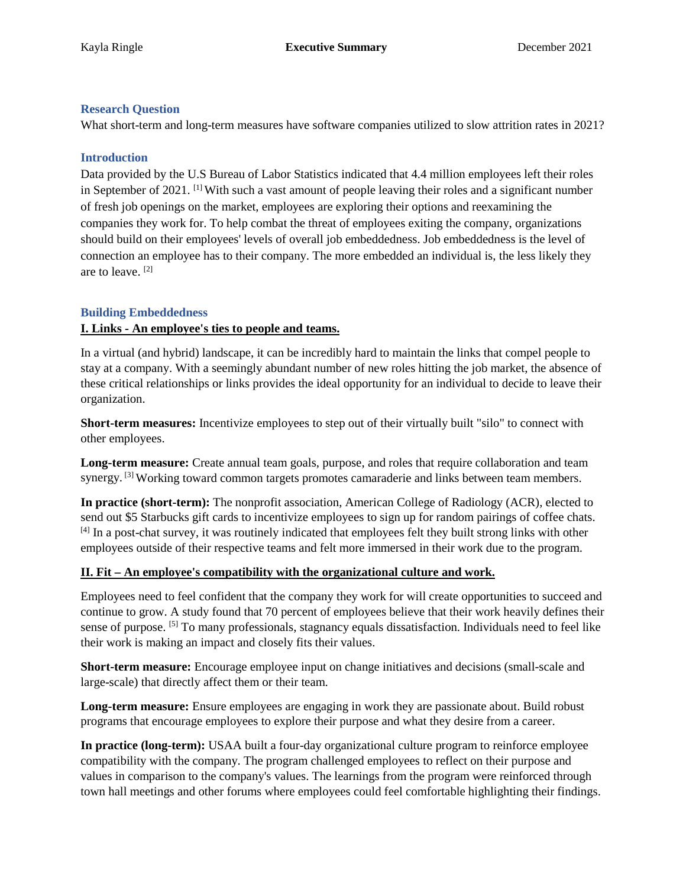# **Research Question**

What short-term and long-term measures have software companies utilized to slow attrition rates in 2021?

### **Introduction**

 Data provided by the U.S Bureau of Labor Statistics indicated that 4.4 million employees left their roles of fresh job openings on the market, employees are exploring their options and reexamining the should build on their employees' levels of overall job embeddedness. Job embeddedness is the level of connection an employee has to their company. The more embedded an individual is, the less likely they are to leave. [2] in September of 2021.  $\left[1\right]$  With such a vast amount of people leaving their roles and a significant number companies they work for. To help combat the threat of employees exiting the company, organizations

# **Building Embeddedness**

#### **I. Links - An employee's ties to people and teams.**

 In a virtual (and hybrid) landscape, it can be incredibly hard to maintain the links that compel people to stay at a company. With a seemingly abundant number of new roles hitting the job market, the absence of these critical relationships or links provides the ideal opportunity for an individual to decide to leave their organization.

 **Short-term measures:** Incentivize employees to step out of their virtually built "silo" to connect with other employees.

 **Long-term measure:** Create annual team goals, purpose, and roles that require collaboration and team synergy. <sup>[3]</sup> Working toward common targets promotes camaraderie and links between team members.

 send out \$5 Starbucks gift cards to incentivize employees to sign up for random pairings of coffee chats. [4] In a post-chat survey, it was routinely indicated that employees felt they built strong links with other employees outside of their respective teams and felt more immersed in their work due to the program. **In practice (short-term):** The nonprofit association, American College of Radiology (ACR), elected to

#### **II. Fit – An employee's compatibility with the organizational culture and work.**

 Employees need to feel confident that the company they work for will create opportunities to succeed and continue to grow. A study found that 70 percent of employees believe that their work heavily defines their sense of purpose. <sup>[5]</sup> To many professionals, stagnancy equals dissatisfaction. Individuals need to feel like their work is making an impact and closely fits their values.

Short-term measure: Encourage employee input on change initiatives and decisions (small-scale and large-scale) that directly affect them or their team.

 **Long-term measure:** Ensure employees are engaging in work they are passionate about. Build robust programs that encourage employees to explore their purpose and what they desire from a career.

 values in comparison to the company's values. The learnings from the program were reinforced through town hall meetings and other forums where employees could feel comfortable highlighting their findings. **In practice (long-term):** USAA built a four-day organizational culture program to reinforce employee compatibility with the company. The program challenged employees to reflect on their purpose and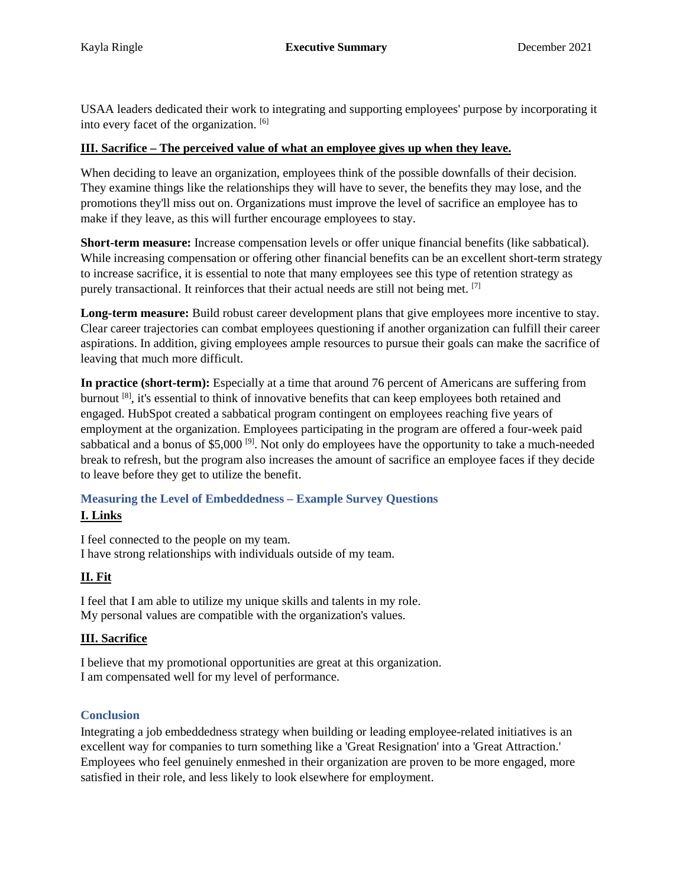USAA leaders dedicated their work to integrating and supporting employees' purpose by incorporating it into every facet of the organization. [6]

### **III. Sacrifice – The perceived value of what an employee gives up when they leave.**

 They examine things like the relationships they will have to sever, the benefits they may lose, and the promotions they'll miss out on. Organizations must improve the level of sacrifice an employee has to make if they leave, as this will further encourage employees to stay. When deciding to leave an organization, employees think of the possible downfalls of their decision.

 While increasing compensation or offering other financial benefits can be an excellent short-term strategy to increase sacrifice, it is essential to note that many employees see this type of retention strategy as purely transactional. It reinforces that their actual needs are still not being met. [7] **Short-term measure:** Increase compensation levels or offer unique financial benefits (like sabbatical).

 Clear career trajectories can combat employees questioning if another organization can fulfill their career **Long-term measure:** Build robust career development plans that give employees more incentive to stay. aspirations. In addition, giving employees ample resources to pursue their goals can make the sacrifice of leaving that much more difficult.

 **In practice (short-term):** Especially at a time that around 76 percent of Americans are suffering from sabbatical and a bonus of \$5,000<sup>[9]</sup>. Not only do employees have the opportunity to take a much-needed to leave before they get to utilize the benefit. burnout [8], it's essential to think of innovative benefits that can keep employees both retained and engaged. HubSpot created a sabbatical program contingent on employees reaching five years of employment at the organization. Employees participating in the program are offered a four-week paid break to refresh, but the program also increases the amount of sacrifice an employee faces if they decide

# **Measuring the Level of Embeddedness – Example Survey Questions I. Links**

I feel connected to the people on my team. I have strong relationships with individuals outside of my team.

# **II. Fit**

 I feel that I am able to utilize my unique skills and talents in my role. My personal values are compatible with the organization's values.

# **III. Sacrifice**

 I believe that my promotional opportunities are great at this organization. I am compensated well for my level of performance.

# **Conclusion**

 excellent way for companies to turn something like a 'Great Resignation' into a 'Great Attraction.' Employees who feel genuinely enmeshed in their organization are proven to be more engaged, more satisfied in their role, and less likely to look elsewhere for employment. Integrating a job embeddedness strategy when building or leading employee-related initiatives is an